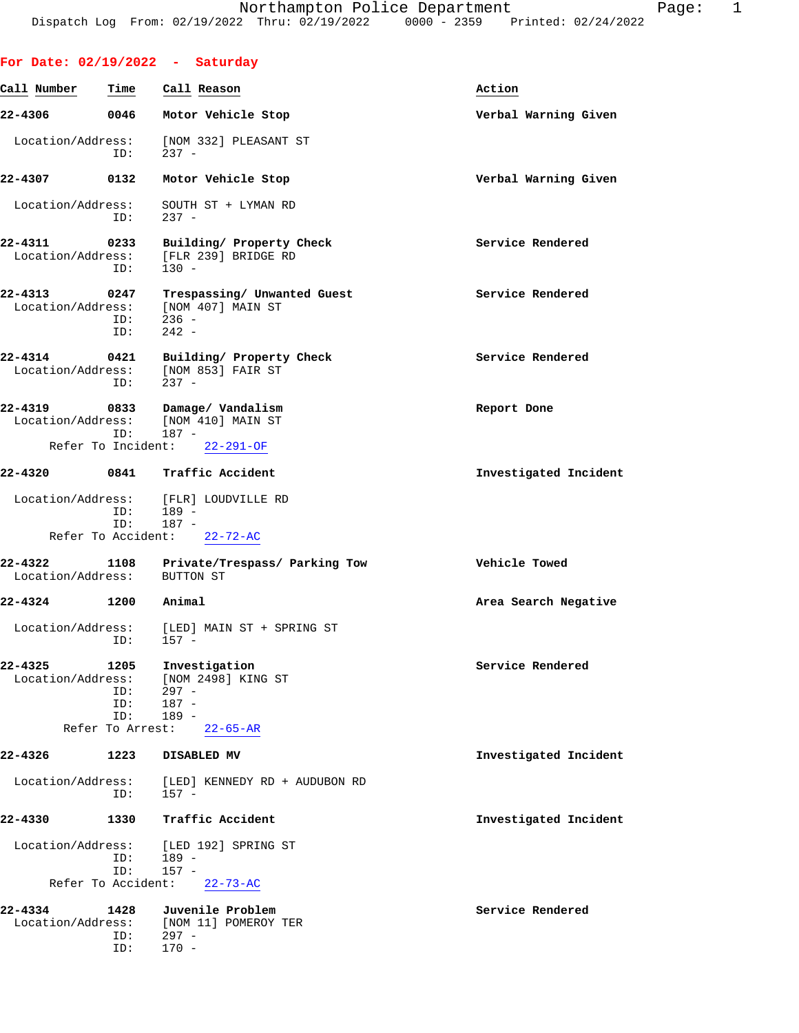**For Date: 02/19/2022 - Saturday Call Number Time Call Reason Action 22-4306 0046 Motor Vehicle Stop Verbal Warning Given** Location/Address: [NOM 332] PLEASANT ST ID: 237 - **22-4307 0132 Motor Vehicle Stop Verbal Warning Given** Location/Address: SOUTH ST + LYMAN RD ID: 237 - **22-4311 0233 Building/ Property Check Service Rendered** Location/Address: [FLR 239] BRIDGE RD ID: 130 - 22-4313 0247 Trespassing/ Unwanted Guest Service Rendered Location/Address: [NOM 407] MAIN ST Location/Address: ID: 236 - ID: 242 - **22-4314 0421 Building/ Property Check Service Rendered** Location/Address: [NOM 853] FAIR ST ID: 237 - **22-4319 0833 Damage/ Vandalism Report Done** Location/Address: [NOM 410] MAIN ST ID: 187 - Refer To Incident: 22-291-OF **22-4320 0841 Traffic Accident Investigated Incident** Location/Address: [FLR] LOUDVILLE RD ID: 189 –<br>ID: 187 – ID: 187 - Refer To Accident: 22-72-AC **22-4322 1108 Private/Trespass/ Parking Tow Vehicle Towed** Location/Address: BUTTON ST **22-4324 1200 Animal Area Search Negative** Location/Address: [LED] MAIN ST + SPRING ST ID: 157 - **22-4325 1205 Investigation Service Rendered** Location/Address: [NOM 2498] KING ST ID: 297 - ID: 187 -<br>ID: 189 - ID: 189 - Refer To Arrest: 22-65-AR **22-4326 1223 DISABLED MV Investigated Incident** Location/Address: [LED] KENNEDY RD + AUDUBON RD ID: 157 - **22-4330 1330 Traffic Accident Investigated Incident** Location/Address: [LED 192] SPRING ST<br>TD: 189 - ID: 189 - ID: 157 - Refer To Accident: 22-73-AC

**22-4334 1428 Juvenile Problem Service Rendered** [NOM 11] POMEROY TER ID: 297 - ID: 170 -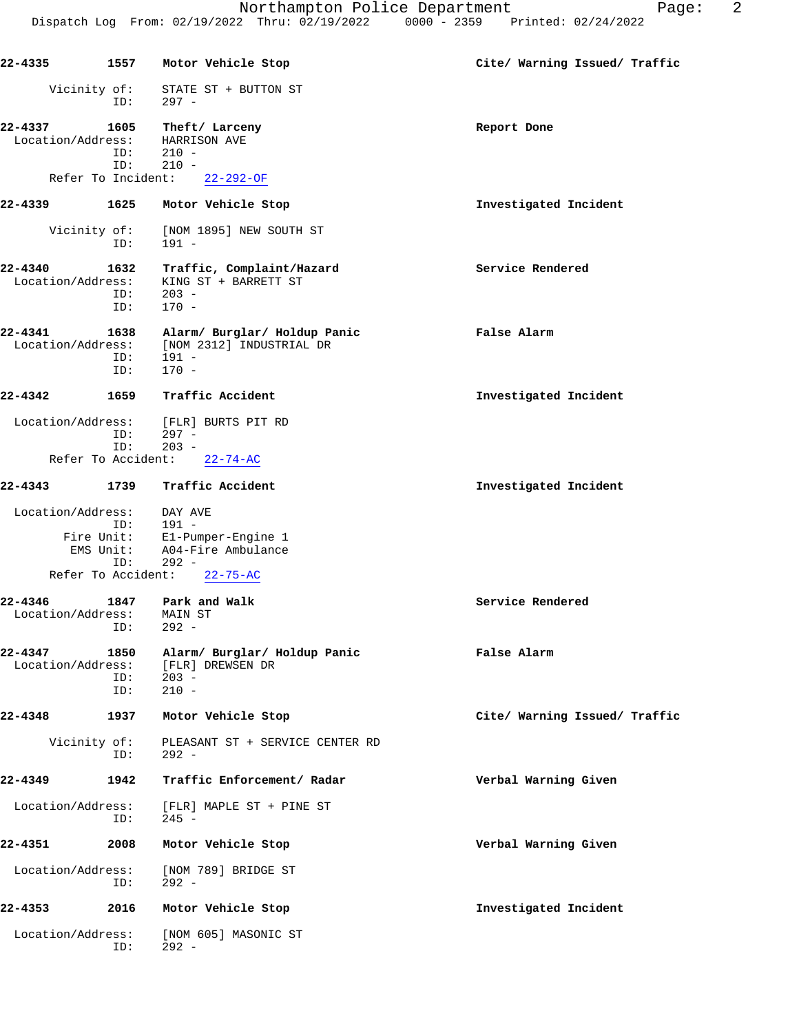| 22-4335                      | 1557               | Motor Vehicle Stop                                                           | Cite/ Warning Issued/ Traffic |
|------------------------------|--------------------|------------------------------------------------------------------------------|-------------------------------|
| Vicinity of:                 | ID:                | STATE ST + BUTTON ST<br>$297 -$                                              |                               |
| 22-4337<br>Location/Address: | 1605<br>ID:<br>ID: | Theft/ Larceny<br>HARRISON AVE<br>$210 -$<br>$210 -$                         | Report Done                   |
| Refer To Incident:           |                    | $22 - 292 - OF$                                                              |                               |
| 22-4339                      | 1625               | Motor Vehicle Stop                                                           | Investigated Incident         |
| Vicinity of:                 | ID:                | [NOM 1895] NEW SOUTH ST<br>$191 -$                                           |                               |
| 22-4340<br>Location/Address: | 1632<br>ID:<br>ID: | Traffic, Complaint/Hazard<br>KING ST + BARRETT ST<br>$203 -$<br>$170 -$      | Service Rendered              |
| 22-4341<br>Location/Address: | 1638<br>ID:<br>ID: | Alarm/ Burglar/ Holdup Panic<br>[NOM 2312] INDUSTRIAL DR<br>191 -<br>$170 -$ | False Alarm                   |
| 22-4342                      | 1659               | Traffic Accident                                                             | Investigated Incident         |
| Location/Address:            | ID:<br>ID:         | [FLR] BURTS PIT RD<br>$297 -$<br>$203 -$                                     |                               |
| Refer To Accident:           |                    | $22 - 74 - AC$                                                               |                               |
| 22-4343                      | 1739               | Traffic Accident                                                             | Investigated Incident         |
| Location/Address:            | ID:                | DAY AVE<br>$191 -$                                                           |                               |
| Fire Unit:<br>EMS Unit:      | ID:                | El-Pumper-Engine 1<br>A04-Fire Ambulance<br>$292 -$                          |                               |
| Refer To Accident:           |                    | $22 - 75 - AC$                                                               |                               |
| 22-4346<br>Location/Address: | 1847<br>ID:        | Park and Walk<br>MAIN ST<br>$292 -$                                          | Service Rendered              |
| 22-4347<br>Location/Address: | 1850<br>ID:<br>ID: | Alarm/ Burglar/ Holdup Panic<br>[FLR] DREWSEN DR<br>$203 -$<br>$210 -$       | False Alarm                   |
| $22 - 4348$                  | 1937               | Motor Vehicle Stop                                                           | Cite/ Warning Issued/ Traffic |
| Vicinity of:                 | ID:                | PLEASANT ST + SERVICE CENTER RD<br>$292 -$                                   |                               |
| 22-4349                      | 1942               | Traffic Enforcement/ Radar                                                   | Verbal Warning Given          |
| Location/Address:            | ID:                | [FLR] MAPLE ST + PINE ST<br>$245 -$                                          |                               |
| 22-4351                      | 2008               | Motor Vehicle Stop                                                           | Verbal Warning Given          |
| Location/Address:            | ID:                | [NOM 789] BRIDGE ST<br>$292 -$                                               |                               |
| 22-4353                      | 2016               | Motor Vehicle Stop                                                           | Investigated Incident         |
| Location/Address:            | ID:                | [NOM 605] MASONIC ST<br>$292 -$                                              |                               |